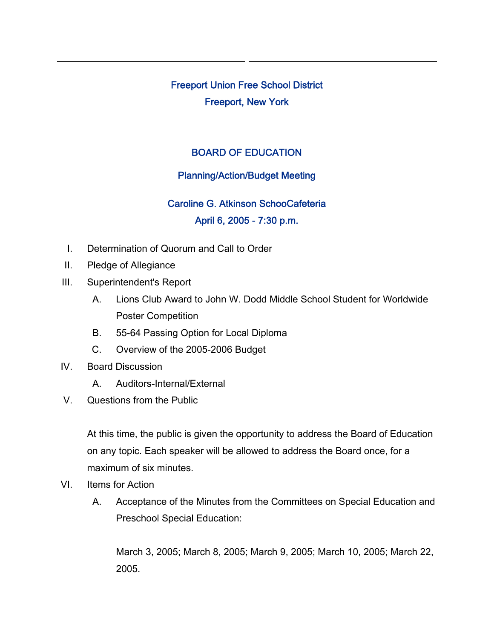Freeport Union Free School District Freeport, New York

## BOARD OF EDUCATION

## Planning/Action/Budget Meeting

## Caroline G. Atkinson SchooCafeteria April 6, 2005 - 7:30 p.m.

- I. Determination of Quorum and Call to Order
- II. Pledge of Allegiance
- III. Superintendent's Report
	- A. Lions Club Award to John W. Dodd Middle School Student for Worldwide Poster Competition
	- B. 55-64 Passing Option for Local Diploma
	- C. Overview of the 2005-2006 Budget
- IV. Board Discussion
	- A. Auditors-Internal/External
- V. Questions from the Public

At this time, the public is given the opportunity to address the Board of Education on any topic. Each speaker will be allowed to address the Board once, for a maximum of six minutes.

- VI. Items for Action
	- A. Acceptance of the Minutes from the Committees on Special Education and Preschool Special Education:

March 3, 2005; March 8, 2005; March 9, 2005; March 10, 2005; March 22, 2005.